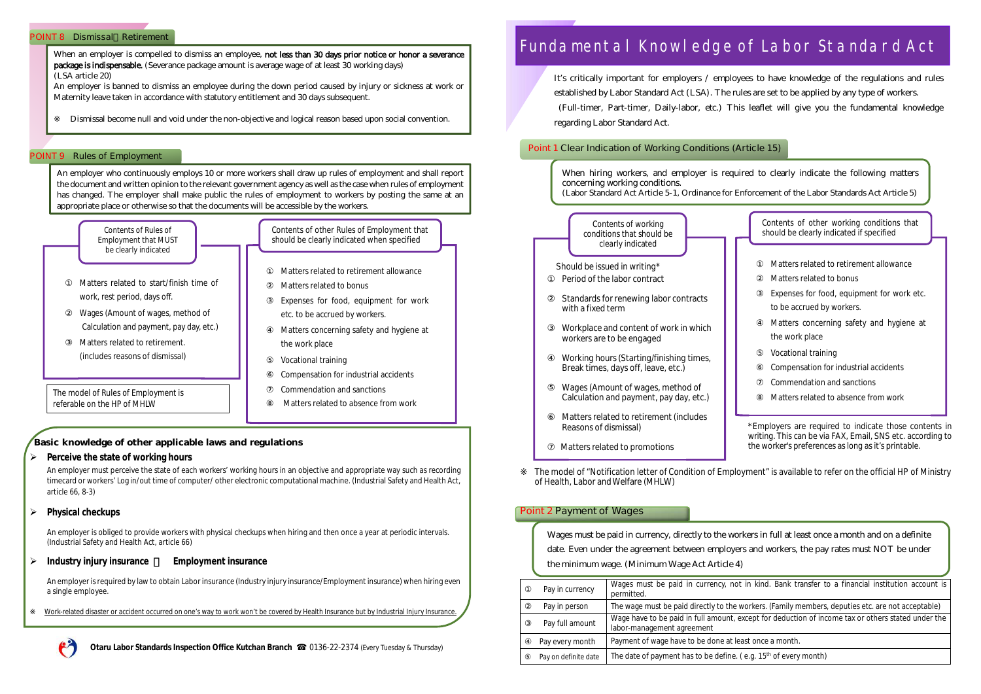#### **POINT 8 Dismissal Retirement**

### **POINT 9 Rules of Employment**

**Basic knowledge of other applicable laws and regulations**

**Perceive the state of working hours**

An employer must perceive the state of each workers' working hours in an objective and appropriate way such as recording timecard or workers' Log in/out time of computer/ other electronic computational machine. (Industrial Safety and Health Act, article 66, 8-3)

**Physical checkups**

An employer is obliged to provide workers with physical checkups when hiring and then once a year at periodic intervals. (Industrial Safety and Health Act, article 66)

**Industry injury insurance Lymployment insurance** 

When an employer is compelled to dismiss an employee, not less than 30 days prior notice or honor a severance package is indispensable. (Severance package amount is average wage of at least 30 working days) (LSA article 20)

An employer is required by law to obtain Labor insurance (Industry injury insurance/Employment insurance) when hiring even a single employee.

Work-related disaster or accident occurred on one's way to work won't be covered by Health Insurance but by Industrial Injury Insurance.



An employer is banned to dismiss an employee during the down period caused by injury or sickness at work or Maternity leave taken in accordance with statutory entitlement and 30 days subsequent.

Dismissal become null and void under the non-objective and logical reason based upon social convention.

An employer who continuously employs 10 or more workers shall draw up rules of employment and shall report the document and written opinion to the relevant government agency as well as the case when rules of employment has changed. The employer shall make public the rules of employment to workers by posting the same at an appropriate place or otherwise so that the documents will be accessible by the workers.



Compensation for industrial accidents

Commendation and sanctions

Matters related to absence from work

The model of Rules of Employment is referable on the HP of MHLW

# Fundamental Knowledge of Labor Standard Act

# **Point 1 Clear Indication of Working Conditions (Article 15)**

The model of "Notification letter of Condition of Employment" is available to refer on the official HP of Ministry of Health, Labor and Welfare (MHLW)

# **Point 2 Payment of Wages**



It's critically important for employers / employees to have knowledge of the regulations and rules established by Labor Standard Act (LSA). The rules are set to be applied by any type of workers. (Full-timer, Part-timer, Daily-labor, etc.) This leaflet will give you the fundamental knowledge regarding Labor Standard Act.

When hiring workers, and employer is required to clearly indicate the following matters concerning working conditions. (Labor Standard Act Article 5-1, Ordinance for Enforcement of the Labor Standards Act Article 5)

| Wages must be paid in currency, directly to the work<br>date. Even under the agreement between employers<br>the minimum wage. (Minimum Wage Act Article 4) |                                                                        |  |  |  |  |
|------------------------------------------------------------------------------------------------------------------------------------------------------------|------------------------------------------------------------------------|--|--|--|--|
| Pay in currency                                                                                                                                            | Wages must be paid in currency, not<br>permitted.                      |  |  |  |  |
| Pay in person                                                                                                                                              | The wage must be paid directly to the we                               |  |  |  |  |
| Pay full amount                                                                                                                                            | Wage have to be paid in full amount, ex-<br>labor-management agreement |  |  |  |  |
| Pay every month                                                                                                                                            | Payment of wage have to be done at lease                               |  |  |  |  |
| Pay on definite date                                                                                                                                       | The date of payment has to be define. (                                |  |  |  |  |
|                                                                                                                                                            |                                                                        |  |  |  |  |

Contents of other working conditions that should be clearly indicated if specified

Matters related to retirement allowance

Matters related to bonus

Expenses for food, equipment for work etc. to be accrued by workers.

Matters concerning safety and hygiene at the work place

Vocational training

Compensation for industrial accidents

Commendation and sanctions

Matters related to absence from work

\*Employers are required to indicate those contents in writing. This can be via FAX, Email, SNS etc. according to the worker's preferences as long as it's printable.

kers in full at least once a month and on a definite and workers, the pay rates must NOT be under

in kind. Bank transfer to a financial institution account is

orkers. (Family members, deputies etc. are not acceptable) cept for deduction of income tax or others stated under the

st once a month.

e.g. 15<sup>th</sup> of every month)